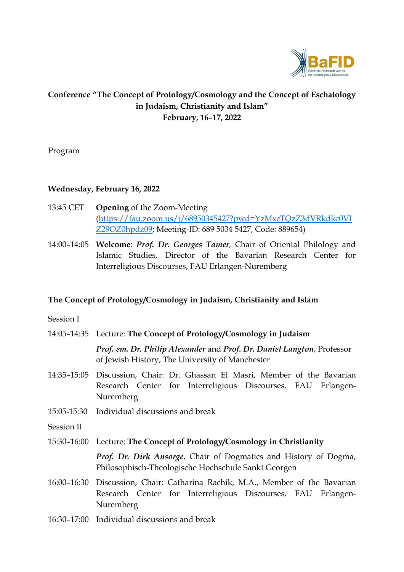

# **Conference "The Concept of Protology/Cosmology and the Concept of Eschatology in Judaism, Christianity and Islam" February, 16**–**17, 2022**

## Program

## **Wednesday, February 16, 2022**

- 13:45 CET **Opening** of the Zoom-Meeting [\(https://fau.zoom.us/j/68950345427?pwd=YzMxcTQzZ3dVRkdkc0VI](https://fau.zoom.us/j/68950345427?pwd=YzMxcTQzZ3dVRkdkc0VIZ29OZ0hpdz09) [Z29OZ0hpdz09;](https://fau.zoom.us/j/68950345427?pwd=YzMxcTQzZ3dVRkdkc0VIZ29OZ0hpdz09) Meeting-ID: 689 5034 5427, Code: 889654)
- 14:00–14:05 **Welcome**: *Prof. Dr. Georges Tamer,* Chair of Oriental Philology and Islamic Studies, Director of the Bavarian Research Center for Interreligious Discourses, FAU Erlangen-Nuremberg

### **The Concept of Protology/Cosmology in Judaism, Christianity and Islam**

Session I

| 14:05–14:35 Lecture: The Concept of Protology/Cosmology in Judaism     |
|------------------------------------------------------------------------|
| Prof. em. Dr. Philip Alexander and Prof. Dr. Daniel Langton, Professor |
| of Jewish History, The University of Manchester                        |

- 14:35–15:05 Discussion, Chair: Dr. Ghassan El Masri, Member of the Bavarian Research Center for Interreligious Discourses, FAU Erlangen-Nuremberg
- 15:05-15:30 Individual discussions and break

Session II

- 15:30–16:00 Lecture: **The Concept of Protology/Cosmology in Christianity**  *Prof. Dr. Dirk Ansorge*, Chair of Dogmatics and History of Dogma, Philosophisch-Theologische Hochschule Sankt Georgen
- 16:00–16:30 Discussion, Chair: Catharina Rachik, M.A., Member of the Bavarian Research Center for Interreligious Discourses, FAU Erlangen-Nuremberg
- 16:30–17:00 Individual discussions and break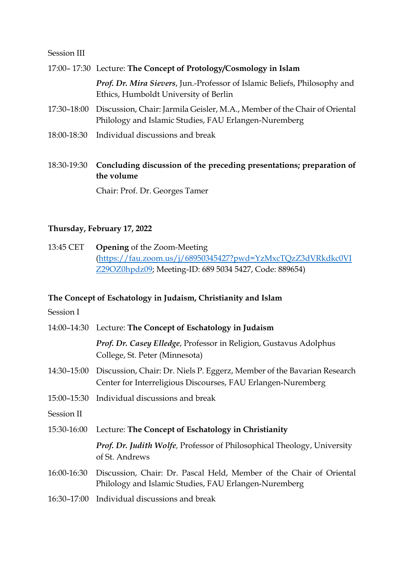#### Session III

#### 17:00– 17:30 Lecture: **The Concept of Protology/Cosmology in Islam**

*Prof. Dr. Mira Sievers*, Jun.-Professor of Islamic Beliefs, Philosophy and Ethics, Humboldt University of Berlin

- 17:30–18:00 Discussion, Chair: Jarmila Geisler, M.A., Member of the Chair of Oriental Philology and Islamic Studies, FAU Erlangen-Nuremberg
- 18:00-18:30 Individual discussions and break

18:30-19:30 **Concluding discussion of the preceding presentations; preparation of the volume**

Chair: Prof. Dr. Georges Tamer

### **Thursday, February 17, 2022**

13:45 CET **Opening** of the Zoom-Meeting [\(https://fau.zoom.us/j/68950345427?pwd=YzMxcTQzZ3dVRkdkc0VI](https://fau.zoom.us/j/68950345427?pwd=YzMxcTQzZ3dVRkdkc0VIZ29OZ0hpdz09) [Z29OZ0hpdz09;](https://fau.zoom.us/j/68950345427?pwd=YzMxcTQzZ3dVRkdkc0VIZ29OZ0hpdz09) Meeting-ID: 689 5034 5427, Code: 889654)

#### **The Concept of Eschatology in Judaism, Christianity and Islam**

Session I

|             | 14:00-14:30 Lecture: The Concept of Eschatology in Judaism                                                                                          |
|-------------|-----------------------------------------------------------------------------------------------------------------------------------------------------|
|             | Prof. Dr. Casey Elledge, Professor in Religion, Gustavus Adolphus<br>College, St. Peter (Minnesota)                                                 |
|             | 14:30–15:00 Discussion, Chair: Dr. Niels P. Eggerz, Member of the Bavarian Research<br>Center for Interreligious Discourses, FAU Erlangen-Nuremberg |
|             | 15:00–15:30 Individual discussions and break                                                                                                        |
| Session II  |                                                                                                                                                     |
|             | 15:30-16:00 Lecture: The Concept of Eschatology in Christianity                                                                                     |
|             | <b>Prof. Dr. Judith Wolfe, Professor of Philosophical Theology, University</b><br>of St. Andrews                                                    |
| 16:00-16:30 | Discussion, Chair: Dr. Pascal Held, Member of the Chair of Oriental<br>Philology and Islamic Studies, FAU Erlangen-Nuremberg                        |
| 16:30-17:00 | Individual discussions and break                                                                                                                    |